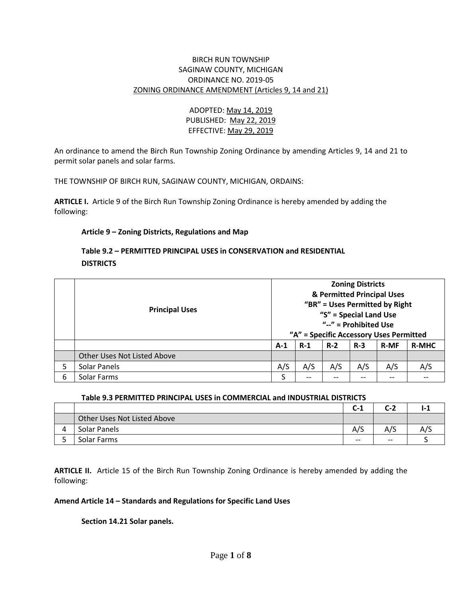#### BIRCH RUN TOWNSHIP SAGINAW COUNTY, MICHIGAN ORDINANCE NO. 2019-05 ZONING ORDINANCE AMENDMENT (Articles 9, 14 and 21)

## ADOPTED: May 14, 2019 PUBLISHED: May 22, 2019 EFFECTIVE: May 29, 2019

An ordinance to amend the Birch Run Township Zoning Ordinance by amending Articles 9, 14 and 21 to permit solar panels and solar farms.

THE TOWNSHIP OF BIRCH RUN, SAGINAW COUNTY, MICHIGAN, ORDAINS:

**ARTICLE I.** Article 9 of the Birch Run Township Zoning Ordinance is hereby amended by adding the following:

## **Article 9 – Zoning Districts, Regulations and Map**

# **Table 9.2 – PERMITTED PRINCIPAL USES in CONSERVATION and RESIDENTIAL DISTRICTS**

|   | <b>Principal Uses</b>       | <b>Zoning Districts</b>                 |       |       |       |             |              |
|---|-----------------------------|-----------------------------------------|-------|-------|-------|-------------|--------------|
|   |                             | & Permitted Principal Uses              |       |       |       |             |              |
|   |                             | "BR" = Uses Permitted by Right          |       |       |       |             |              |
|   |                             | "S" = Special Land Use                  |       |       |       |             |              |
|   |                             | " $-$ " = Prohibited Use                |       |       |       |             |              |
|   |                             | "A" = Specific Accessory Uses Permitted |       |       |       |             |              |
|   |                             | $A-1$                                   | $R-1$ | $R-2$ | $R-3$ | <b>R-MF</b> | <b>R-MHC</b> |
|   | Other Uses Not Listed Above |                                         |       |       |       |             |              |
| 5 | Solar Panels                | A/S                                     | A/S   | A/S   | A/S   | A/S         | A/S          |
| 6 | Solar Farms                 |                                         | --    | --    | --    | --          |              |

#### **Table 9.3 PERMITTED PRINCIPAL USES in COMMERCIAL and INDUSTRIAL DISTRICTS**

|   |                             | $C-1$ | C-2   | . . |
|---|-----------------------------|-------|-------|-----|
|   | Other Uses Not Listed Above |       |       |     |
| 4 | Solar Panels                | A/S   | A/S   | A/S |
|   | Solar Farms                 | $- -$ | $- -$ |     |

**ARTICLE II.** Article 15 of the Birch Run Township Zoning Ordinance is hereby amended by adding the following:

## **Amend Article 14 – Standards and Regulations for Specific Land Uses**

## **Section 14.21 Solar panels.**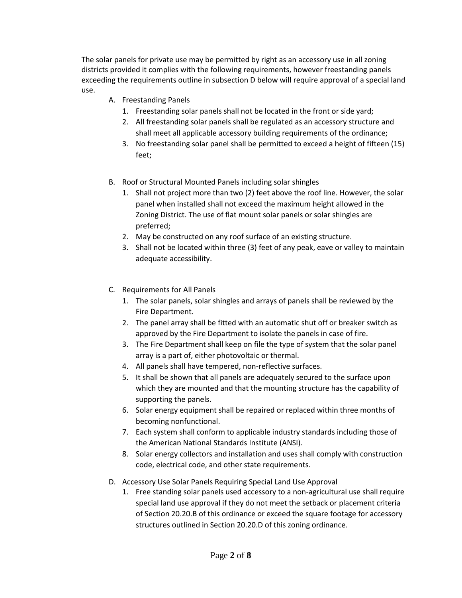The solar panels for private use may be permitted by right as an accessory use in all zoning districts provided it complies with the following requirements, however freestanding panels exceeding the requirements outline in subsection D below will require approval of a special land use.

- A. Freestanding Panels
	- 1. Freestanding solar panels shall not be located in the front or side yard;
	- 2. All freestanding solar panels shall be regulated as an accessory structure and shall meet all applicable accessory building requirements of the ordinance;
	- 3. No freestanding solar panel shall be permitted to exceed a height of fifteen (15) feet;
- B. Roof or Structural Mounted Panels including solar shingles
	- 1. Shall not project more than two (2) feet above the roof line. However, the solar panel when installed shall not exceed the maximum height allowed in the Zoning District. The use of flat mount solar panels or solar shingles are preferred;
	- 2. May be constructed on any roof surface of an existing structure.
	- 3. Shall not be located within three (3) feet of any peak, eave or valley to maintain adequate accessibility.
- C. Requirements for All Panels
	- 1. The solar panels, solar shingles and arrays of panels shall be reviewed by the Fire Department.
	- 2. The panel array shall be fitted with an automatic shut off or breaker switch as approved by the Fire Department to isolate the panels in case of fire.
	- 3. The Fire Department shall keep on file the type of system that the solar panel array is a part of, either photovoltaic or thermal.
	- 4. All panels shall have tempered, non-reflective surfaces.
	- 5. It shall be shown that all panels are adequately secured to the surface upon which they are mounted and that the mounting structure has the capability of supporting the panels.
	- 6. Solar energy equipment shall be repaired or replaced within three months of becoming nonfunctional.
	- 7. Each system shall conform to applicable industry standards including those of the American National Standards Institute (ANSI).
	- 8. Solar energy collectors and installation and uses shall comply with construction code, electrical code, and other state requirements.
- D. Accessory Use Solar Panels Requiring Special Land Use Approval
	- 1. Free standing solar panels used accessory to a non-agricultural use shall require special land use approval if they do not meet the setback or placement criteria of Section 20.20.B of this ordinance or exceed the square footage for accessory structures outlined in Section 20.20.D of this zoning ordinance.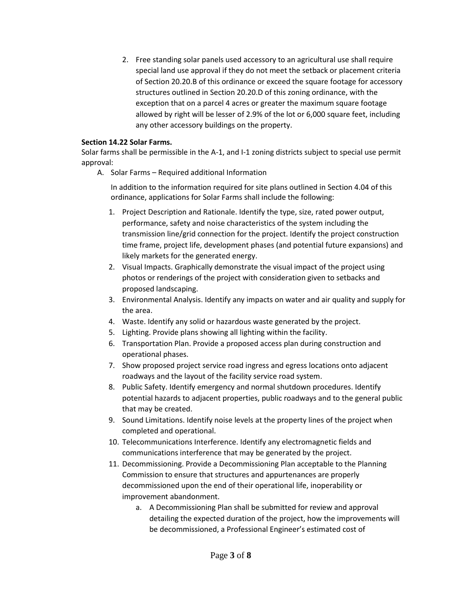2. Free standing solar panels used accessory to an agricultural use shall require special land use approval if they do not meet the setback or placement criteria of Section 20.20.B of this ordinance or exceed the square footage for accessory structures outlined in Section 20.20.D of this zoning ordinance, with the exception that on a parcel 4 acres or greater the maximum square footage allowed by right will be lesser of 2.9% of the lot or 6,000 square feet, including any other accessory buildings on the property.

#### **Section 14.22 Solar Farms.**

Solar farms shall be permissible in the A-1, and I-1 zoning districts subject to special use permit approval:

A. Solar Farms – Required additional Information

In addition to the information required for site plans outlined in Section 4.04 of this ordinance, applications for Solar Farms shall include the following:

- 1. Project Description and Rationale. Identify the type, size, rated power output, performance, safety and noise characteristics of the system including the transmission line/grid connection for the project. Identify the project construction time frame, project life, development phases (and potential future expansions) and likely markets for the generated energy.
- 2. Visual Impacts. Graphically demonstrate the visual impact of the project using photos or renderings of the project with consideration given to setbacks and proposed landscaping.
- 3. Environmental Analysis. Identify any impacts on water and air quality and supply for the area.
- 4. Waste. Identify any solid or hazardous waste generated by the project.
- 5. Lighting. Provide plans showing all lighting within the facility.
- 6. Transportation Plan. Provide a proposed access plan during construction and operational phases.
- 7. Show proposed project service road ingress and egress locations onto adjacent roadways and the layout of the facility service road system.
- 8. Public Safety. Identify emergency and normal shutdown procedures. Identify potential hazards to adjacent properties, public roadways and to the general public that may be created.
- 9. Sound Limitations. Identify noise levels at the property lines of the project when completed and operational.
- 10. Telecommunications Interference. Identify any electromagnetic fields and communications interference that may be generated by the project.
- 11. Decommissioning. Provide a Decommissioning Plan acceptable to the Planning Commission to ensure that structures and appurtenances are properly decommissioned upon the end of their operational life, inoperability or improvement abandonment.
	- a. A Decommissioning Plan shall be submitted for review and approval detailing the expected duration of the project, how the improvements will be decommissioned, a Professional Engineer's estimated cost of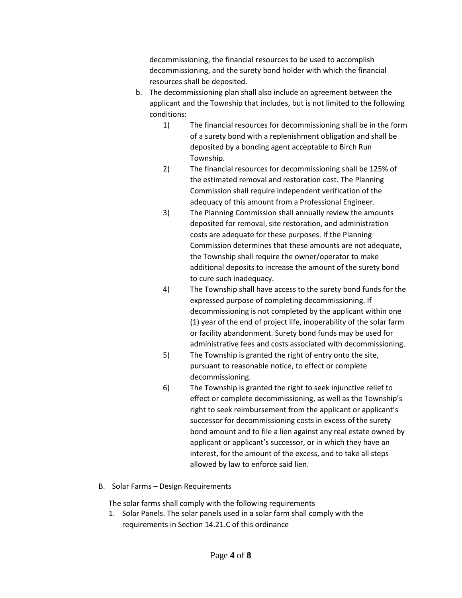decommissioning, the financial resources to be used to accomplish decommissioning, and the surety bond holder with which the financial resources shall be deposited.

- b. The decommissioning plan shall also include an agreement between the applicant and the Township that includes, but is not limited to the following conditions:
	- 1) The financial resources for decommissioning shall be in the form of a surety bond with a replenishment obligation and shall be deposited by a bonding agent acceptable to Birch Run Township.
	- 2) The financial resources for decommissioning shall be 125% of the estimated removal and restoration cost. The Planning Commission shall require independent verification of the adequacy of this amount from a Professional Engineer.
	- 3) The Planning Commission shall annually review the amounts deposited for removal, site restoration, and administration costs are adequate for these purposes. If the Planning Commission determines that these amounts are not adequate, the Township shall require the owner/operator to make additional deposits to increase the amount of the surety bond to cure such inadequacy.
	- 4) The Township shall have access to the surety bond funds for the expressed purpose of completing decommissioning. If decommissioning is not completed by the applicant within one (1) year of the end of project life, inoperability of the solar farm or facility abandonment. Surety bond funds may be used for administrative fees and costs associated with decommissioning.
	- 5) The Township is granted the right of entry onto the site, pursuant to reasonable notice, to effect or complete decommissioning.
	- 6) The Township is granted the right to seek injunctive relief to effect or complete decommissioning, as well as the Township's right to seek reimbursement from the applicant or applicant's successor for decommissioning costs in excess of the surety bond amount and to file a lien against any real estate owned by applicant or applicant's successor, or in which they have an interest, for the amount of the excess, and to take all steps allowed by law to enforce said lien.
- B. Solar Farms Design Requirements

The solar farms shall comply with the following requirements

1. Solar Panels. The solar panels used in a solar farm shall comply with the requirements in Section 14.21.C of this ordinance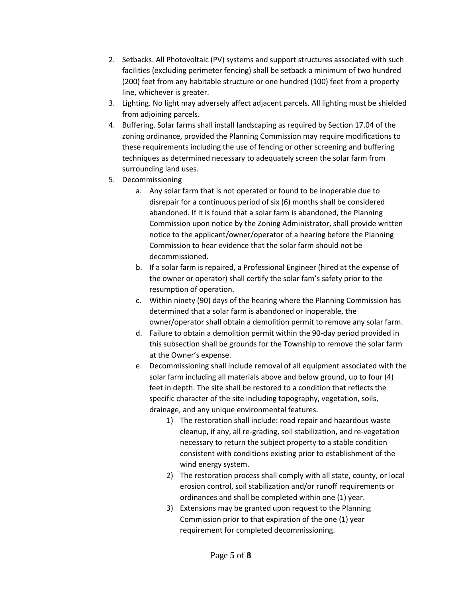- 2. Setbacks. All Photovoltaic (PV) systems and support structures associated with such facilities (excluding perimeter fencing) shall be setback a minimum of two hundred (200) feet from any habitable structure or one hundred (100) feet from a property line, whichever is greater.
- 3. Lighting. No light may adversely affect adjacent parcels. All lighting must be shielded from adjoining parcels.
- 4. Buffering. Solar farms shall install landscaping as required by Section 17.04 of the zoning ordinance, provided the Planning Commission may require modifications to these requirements including the use of fencing or other screening and buffering techniques as determined necessary to adequately screen the solar farm from surrounding land uses.
- 5. Decommissioning
	- a. Any solar farm that is not operated or found to be inoperable due to disrepair for a continuous period of six (6) months shall be considered abandoned. If it is found that a solar farm is abandoned, the Planning Commission upon notice by the Zoning Administrator, shall provide written notice to the applicant/owner/operator of a hearing before the Planning Commission to hear evidence that the solar farm should not be decommissioned.
	- b. If a solar farm is repaired, a Professional Engineer (hired at the expense of the owner or operator) shall certify the solar fam's safety prior to the resumption of operation.
	- c. Within ninety (90) days of the hearing where the Planning Commission has determined that a solar farm is abandoned or inoperable, the owner/operator shall obtain a demolition permit to remove any solar farm.
	- d. Failure to obtain a demolition permit within the 90-day period provided in this subsection shall be grounds for the Township to remove the solar farm at the Owner's expense.
	- e. Decommissioning shall include removal of all equipment associated with the solar farm including all materials above and below ground, up to four (4) feet in depth. The site shall be restored to a condition that reflects the specific character of the site including topography, vegetation, soils, drainage, and any unique environmental features.
		- 1) The restoration shall include: road repair and hazardous waste cleanup, if any, all re-grading, soil stabilization, and re-vegetation necessary to return the subject property to a stable condition consistent with conditions existing prior to establishment of the wind energy system.
		- 2) The restoration process shall comply with all state, county, or local erosion control, soil stabilization and/or runoff requirements or ordinances and shall be completed within one (1) year.
		- 3) Extensions may be granted upon request to the Planning Commission prior to that expiration of the one (1) year requirement for completed decommissioning.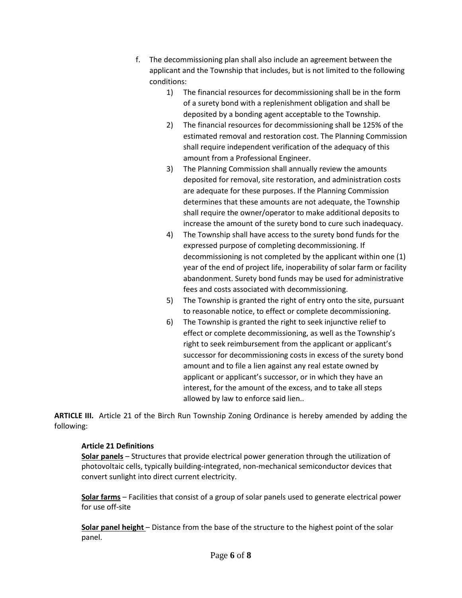- f. The decommissioning plan shall also include an agreement between the applicant and the Township that includes, but is not limited to the following conditions:
	- 1) The financial resources for decommissioning shall be in the form of a surety bond with a replenishment obligation and shall be deposited by a bonding agent acceptable to the Township.
	- 2) The financial resources for decommissioning shall be 125% of the estimated removal and restoration cost. The Planning Commission shall require independent verification of the adequacy of this amount from a Professional Engineer.
	- 3) The Planning Commission shall annually review the amounts deposited for removal, site restoration, and administration costs are adequate for these purposes. If the Planning Commission determines that these amounts are not adequate, the Township shall require the owner/operator to make additional deposits to increase the amount of the surety bond to cure such inadequacy.
	- 4) The Township shall have access to the surety bond funds for the expressed purpose of completing decommissioning. If decommissioning is not completed by the applicant within one (1) year of the end of project life, inoperability of solar farm or facility abandonment. Surety bond funds may be used for administrative fees and costs associated with decommissioning.
	- 5) The Township is granted the right of entry onto the site, pursuant to reasonable notice, to effect or complete decommissioning.
	- 6) The Township is granted the right to seek injunctive relief to effect or complete decommissioning, as well as the Township's right to seek reimbursement from the applicant or applicant's successor for decommissioning costs in excess of the surety bond amount and to file a lien against any real estate owned by applicant or applicant's successor, or in which they have an interest, for the amount of the excess, and to take all steps allowed by law to enforce said lien..

**ARTICLE III.** Article 21 of the Birch Run Township Zoning Ordinance is hereby amended by adding the following:

# **Article 21 Definitions**

**Solar panels** – Structures that provide electrical power generation through the utilization of photovoltaic cells, typically building-integrated, non-mechanical semiconductor devices that convert sunlight into direct current electricity.

**Solar farms** – Facilities that consist of a group of solar panels used to generate electrical power for use off-site

**Solar panel height** – Distance from the base of the structure to the highest point of the solar panel.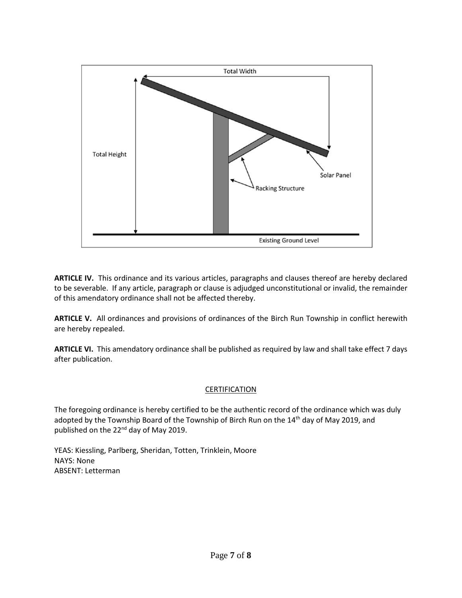

**ARTICLE IV.** This ordinance and its various articles, paragraphs and clauses thereof are hereby declared to be severable. If any article, paragraph or clause is adjudged unconstitutional or invalid, the remainder of this amendatory ordinance shall not be affected thereby.

**ARTICLE V.** All ordinances and provisions of ordinances of the Birch Run Township in conflict herewith are hereby repealed.

**ARTICLE VI.** This amendatory ordinance shall be published as required by law and shall take effect 7 days after publication.

## **CERTIFICATION**

The foregoing ordinance is hereby certified to be the authentic record of the ordinance which was duly adopted by the Township Board of the Township of Birch Run on the 14<sup>th</sup> day of May 2019, and published on the 22<sup>nd</sup> day of May 2019.

YEAS: Kiessling, Parlberg, Sheridan, Totten, Trinklein, Moore NAYS: None ABSENT: Letterman